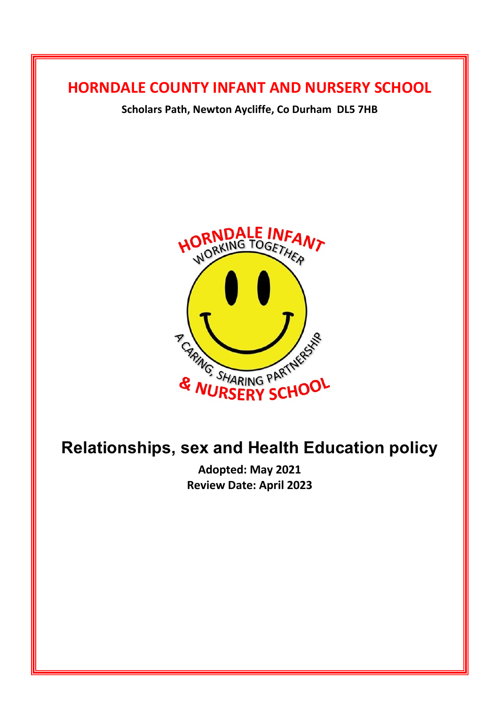## **HORNDALE COUNTY INFANT AND NURSERY SCHOOL**

**Scholars Path, Newton Aycliffe, Co Durham DL5 7HB**



# **Relationships, sex and Health Education policy**

**Adopted: May 2021 Review Date: April 2023**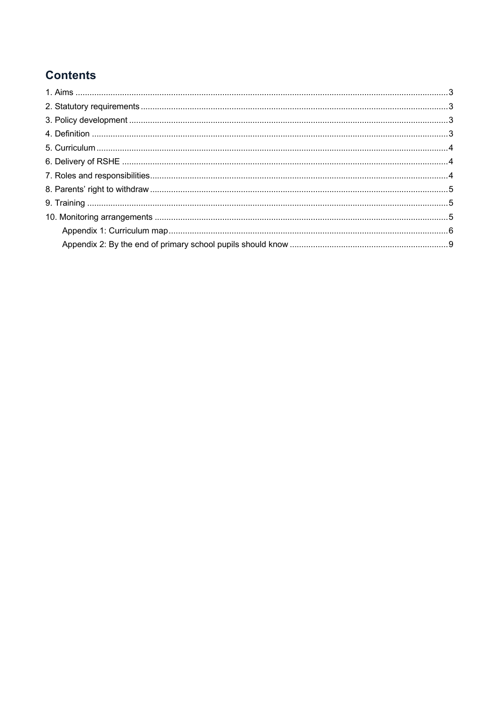## **Contents**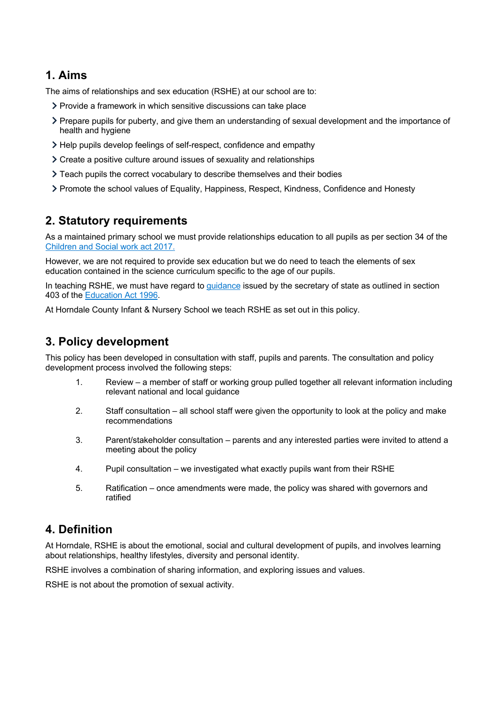### **1. Aims**

The aims of relationships and sex education (RSHE) at our school are to:

- Provide a framework in which sensitive discussions can take place
- Prepare pupils for puberty, and give them an understanding of sexual development and the importance of health and hygiene
- Help pupils develop feelings of self-respect, confidence and empathy
- Create a positive culture around issues of sexuality and relationships
- Teach pupils the correct vocabulary to describe themselves and their bodies
- Promote the school values of Equality, Happiness, Respect, Kindness, Confidence and Honesty

## **2. Statutory requirements**

As a maintained primary school we must provide relationships education to all pupils as per section 34 of the Children and Social work act 2017.

However, we are not required to provide sex education but we do need to teach the elements of sex education contained in the science curriculum specific to the age of our pupils.

In teaching RSHE, we must have regard to guidance issued by the secretary of state as outlined in section 403 of the Education Act 1996.

At Horndale County Infant & Nursery School we teach RSHE as set out in this policy.

## **3. Policy development**

This policy has been developed in consultation with staff, pupils and parents. The consultation and policy development process involved the following steps:

- 1. Review a member of staff or working group pulled together all relevant information including relevant national and local guidance
- 2. Staff consultation all school staff were given the opportunity to look at the policy and make recommendations
- 3. Parent/stakeholder consultation parents and any interested parties were invited to attend a meeting about the policy
- 4. Pupil consultation we investigated what exactly pupils want from their RSHE
- 5. Ratification once amendments were made, the policy was shared with governors and ratified

## **4. Definition**

At Horndale, RSHE is about the emotional, social and cultural development of pupils, and involves learning about relationships, healthy lifestyles, diversity and personal identity.

RSHE involves a combination of sharing information, and exploring issues and values.

RSHE is not about the promotion of sexual activity.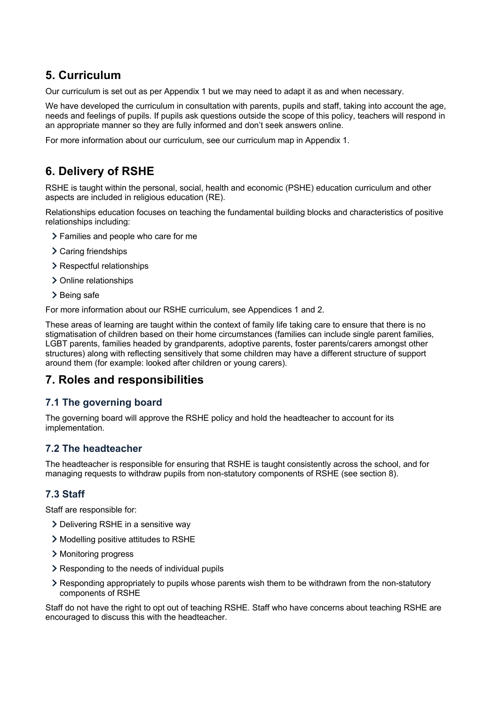## **5. Curriculum**

Our curriculum is set out as per Appendix 1 but we may need to adapt it as and when necessary.

We have developed the curriculum in consultation with parents, pupils and staff, taking into account the age, needs and feelings of pupils. If pupils ask questions outside the scope of this policy, teachers will respond in an appropriate manner so they are fully informed and don't seek answers online.

For more information about our curriculum, see our curriculum map in Appendix 1.

## **6. Delivery of RSHE**

RSHE is taught within the personal, social, health and economic (PSHE) education curriculum and other aspects are included in religious education (RE).

Relationships education focuses on teaching the fundamental building blocks and characteristics of positive relationships including:

- Families and people who care for me
- > Caring friendships
- > Respectful relationships
- > Online relationships
- > Being safe

For more information about our RSHE curriculum, see Appendices 1 and 2.

These areas of learning are taught within the context of family life taking care to ensure that there is no stigmatisation of children based on their home circumstances (families can include single parent families, LGBT parents, families headed by grandparents, adoptive parents, foster parents/carers amongst other structures) along with reflecting sensitively that some children may have a different structure of support around them (for example: looked after children or young carers).

#### **7. Roles and responsibilities**

#### **7.1 The governing board**

The governing board will approve the RSHE policy and hold the headteacher to account for its implementation.

#### **7.2 The headteacher**

The headteacher is responsible for ensuring that RSHE is taught consistently across the school, and for managing requests to withdraw pupils from non-statutory components of RSHE (see section 8).

#### **7.3 Staff**

Staff are responsible for:

- Delivering RSHE in a sensitive way
- Modelling positive attitudes to RSHE
- > Monitoring progress
- Responding to the needs of individual pupils
- Responding appropriately to pupils whose parents wish them to be withdrawn from the non-statutory components of RSHE

Staff do not have the right to opt out of teaching RSHE. Staff who have concerns about teaching RSHE are encouraged to discuss this with the headteacher.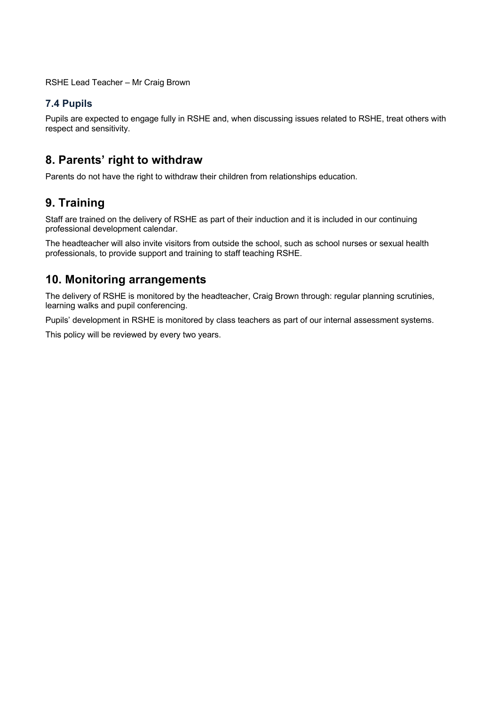RSHE Lead Teacher – Mr Craig Brown

#### **7.4 Pupils**

Pupils are expected to engage fully in RSHE and, when discussing issues related to RSHE, treat others with respect and sensitivity.

## **8. Parents' right to withdraw**

Parents do not have the right to withdraw their children from relationships education.

## **9. Training**

Staff are trained on the delivery of RSHE as part of their induction and it is included in our continuing professional development calendar.

The headteacher will also invite visitors from outside the school, such as school nurses or sexual health professionals, to provide support and training to staff teaching RSHE.

## **10. Monitoring arrangements**

The delivery of RSHE is monitored by the headteacher, Craig Brown through: regular planning scrutinies, learning walks and pupil conferencing.

Pupils' development in RSHE is monitored by class teachers as part of our internal assessment systems.

This policy will be reviewed by every two years.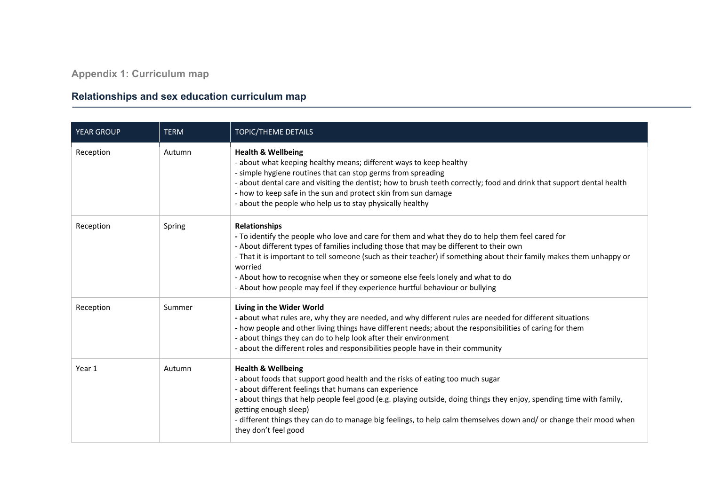**Appendix 1: Curriculum map**

## **Relationships and sex education curriculum map**

| <b>YEAR GROUP</b> | <b>TERM</b> | TOPIC/THEME DETAILS                                                                                                                                                                                                                                                                                                                                                                                                                                                                                                     |
|-------------------|-------------|-------------------------------------------------------------------------------------------------------------------------------------------------------------------------------------------------------------------------------------------------------------------------------------------------------------------------------------------------------------------------------------------------------------------------------------------------------------------------------------------------------------------------|
| Reception         | Autumn      | <b>Health &amp; Wellbeing</b><br>- about what keeping healthy means; different ways to keep healthy<br>- simple hygiene routines that can stop germs from spreading<br>- about dental care and visiting the dentist; how to brush teeth correctly; food and drink that support dental health<br>- how to keep safe in the sun and protect skin from sun damage<br>- about the people who help us to stay physically healthy                                                                                             |
| Reception         | Spring      | <b>Relationships</b><br>- To identify the people who love and care for them and what they do to help them feel cared for<br>- About different types of families including those that may be different to their own<br>- That it is important to tell someone (such as their teacher) if something about their family makes them unhappy or<br>worried<br>- About how to recognise when they or someone else feels lonely and what to do<br>- About how people may feel if they experience hurtful behaviour or bullying |
| Reception         | Summer      | Living in the Wider World<br>- about what rules are, why they are needed, and why different rules are needed for different situations<br>- how people and other living things have different needs; about the responsibilities of caring for them<br>- about things they can do to help look after their environment<br>- about the different roles and responsibilities people have in their community                                                                                                                 |
| Year 1            | Autumn      | <b>Health &amp; Wellbeing</b><br>- about foods that support good health and the risks of eating too much sugar<br>- about different feelings that humans can experience<br>- about things that help people feel good (e.g. playing outside, doing things they enjoy, spending time with family,<br>getting enough sleep)<br>- different things they can do to manage big feelings, to help calm themselves down and/ or change their mood when<br>they don't feel good                                                  |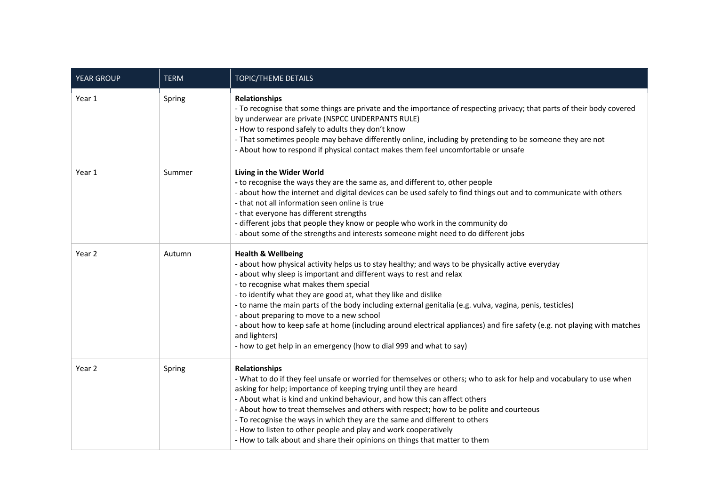| <b>YEAR GROUP</b> | <b>TERM</b> | TOPIC/THEME DETAILS                                                                                                                                                                                                                                                                                                                                                                                                                                                                                                                                                                                                                                                                                 |
|-------------------|-------------|-----------------------------------------------------------------------------------------------------------------------------------------------------------------------------------------------------------------------------------------------------------------------------------------------------------------------------------------------------------------------------------------------------------------------------------------------------------------------------------------------------------------------------------------------------------------------------------------------------------------------------------------------------------------------------------------------------|
| Year 1            | Spring      | <b>Relationships</b><br>- To recognise that some things are private and the importance of respecting privacy; that parts of their body covered<br>by underwear are private (NSPCC UNDERPANTS RULE)<br>- How to respond safely to adults they don't know<br>- That sometimes people may behave differently online, including by pretending to be someone they are not<br>- About how to respond if physical contact makes them feel uncomfortable or unsafe                                                                                                                                                                                                                                          |
| Year 1            | Summer      | Living in the Wider World<br>- to recognise the ways they are the same as, and different to, other people<br>- about how the internet and digital devices can be used safely to find things out and to communicate with others<br>- that not all information seen online is true<br>- that everyone has different strengths<br>- different jobs that people they know or people who work in the community do<br>- about some of the strengths and interests someone might need to do different jobs                                                                                                                                                                                                 |
| Year 2            | Autumn      | <b>Health &amp; Wellbeing</b><br>- about how physical activity helps us to stay healthy; and ways to be physically active everyday<br>- about why sleep is important and different ways to rest and relax<br>- to recognise what makes them special<br>- to identify what they are good at, what they like and dislike<br>- to name the main parts of the body including external genitalia (e.g. vulva, vagina, penis, testicles)<br>- about preparing to move to a new school<br>- about how to keep safe at home (including around electrical appliances) and fire safety (e.g. not playing with matches<br>and lighters)<br>- how to get help in an emergency (how to dial 999 and what to say) |
| Year 2            | Spring      | <b>Relationships</b><br>- What to do if they feel unsafe or worried for themselves or others; who to ask for help and vocabulary to use when<br>asking for help; importance of keeping trying until they are heard<br>- About what is kind and unkind behaviour, and how this can affect others<br>- About how to treat themselves and others with respect; how to be polite and courteous<br>- To recognise the ways in which they are the same and different to others<br>- How to listen to other people and play and work cooperatively<br>- How to talk about and share their opinions on things that matter to them                                                                           |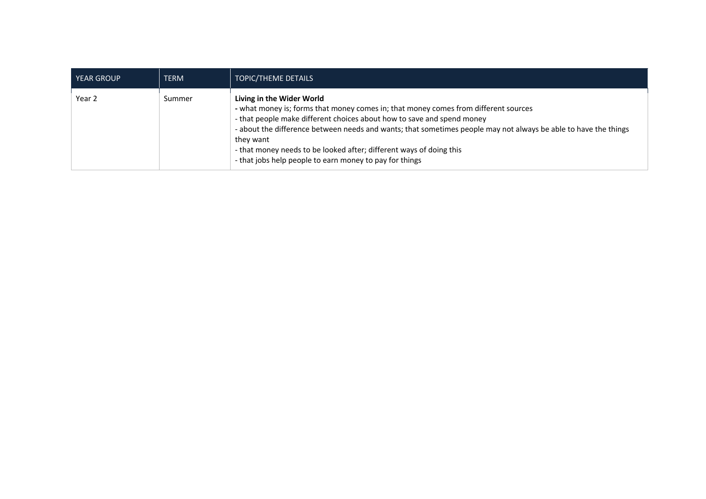| <b>YEAR GROUP</b> | <b>TERM</b> | <b>TOPIC/THEME DETAILS</b>                                                                                                                                                                                                                                                                                                                                                                                                                                   |
|-------------------|-------------|--------------------------------------------------------------------------------------------------------------------------------------------------------------------------------------------------------------------------------------------------------------------------------------------------------------------------------------------------------------------------------------------------------------------------------------------------------------|
| Year 2            | Summer      | Living in the Wider World<br>- what money is; forms that money comes in; that money comes from different sources<br>- that people make different choices about how to save and spend money<br>- about the difference between needs and wants; that sometimes people may not always be able to have the things<br>they want<br>- that money needs to be looked after; different ways of doing this<br>- that jobs help people to earn money to pay for things |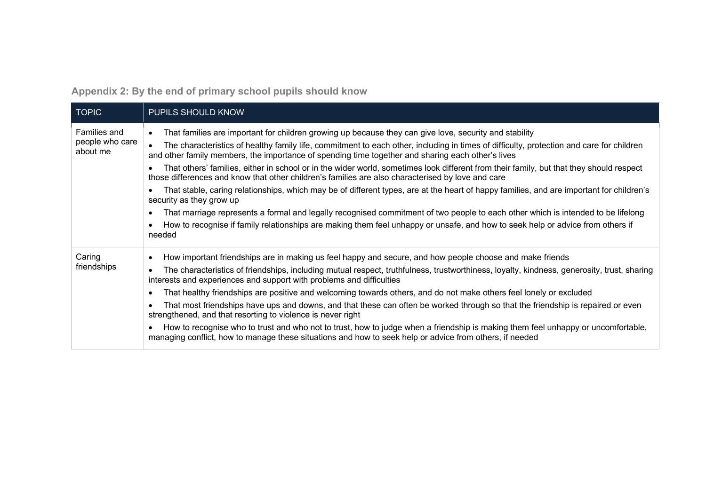**Appendix 2: By the end of primary school pupils should know**

| <b>TOPIC</b>                                | PUPILS SHOULD KNOW                                                                                                                                                                                                                                                                                                                                                                                                                                                                                                                                                                                                                                                                                                                                                                                                                                                                                                                                                                                                                                              |
|---------------------------------------------|-----------------------------------------------------------------------------------------------------------------------------------------------------------------------------------------------------------------------------------------------------------------------------------------------------------------------------------------------------------------------------------------------------------------------------------------------------------------------------------------------------------------------------------------------------------------------------------------------------------------------------------------------------------------------------------------------------------------------------------------------------------------------------------------------------------------------------------------------------------------------------------------------------------------------------------------------------------------------------------------------------------------------------------------------------------------|
| Families and<br>people who care<br>about me | That families are important for children growing up because they can give love, security and stability<br>The characteristics of healthy family life, commitment to each other, including in times of difficulty, protection and care for children<br>and other family members, the importance of spending time together and sharing each other's lives<br>That others' families, either in school or in the wider world, sometimes look different from their family, but that they should respect<br>those differences and know that other children's families are also characterised by love and care<br>That stable, caring relationships, which may be of different types, are at the heart of happy families, and are important for children's<br>security as they grow up<br>That marriage represents a formal and legally recognised commitment of two people to each other which is intended to be lifelong<br>How to recognise if family relationships are making them feel unhappy or unsafe, and how to seek help or advice from others if<br>needed |
| Caring<br>friendships                       | How important friendships are in making us feel happy and secure, and how people choose and make friends<br>The characteristics of friendships, including mutual respect, truthfulness, trustworthiness, loyalty, kindness, generosity, trust, sharing<br>interests and experiences and support with problems and difficulties<br>That healthy friendships are positive and welcoming towards others, and do not make others feel lonely or excluded<br>That most friendships have ups and downs, and that these can often be worked through so that the friendship is repaired or even<br>strengthened, and that resorting to violence is never right<br>How to recognise who to trust and who not to trust, how to judge when a friendship is making them feel unhappy or uncomfortable,<br>managing conflict, how to manage these situations and how to seek help or advice from others, if needed                                                                                                                                                           |